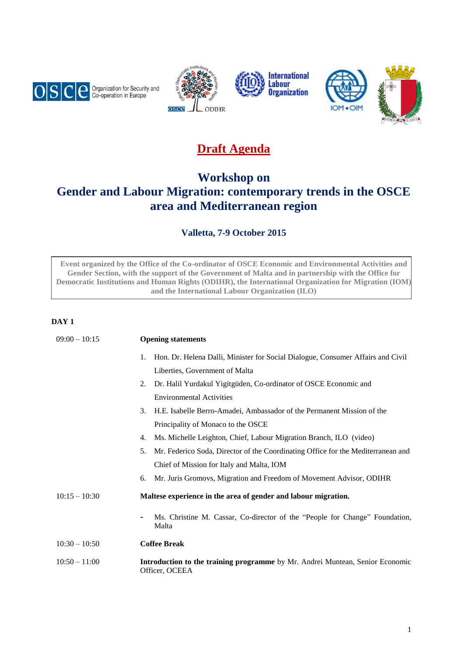









# **Draft Agenda**

# **Workshop on Gender and Labour Migration: contemporary trends in the OSCE area and Mediterranean region**

## **Valletta, 7-9 October 2015**

**Event organized by the Office of the Co-ordinator of OSCE Economic and Environmental Activities and Gender Section, with the support of the Government of Malta and in partnership with the Office for Democratic Institutions and Human Rights (ODIHR), the International Organization for Migration (IOM) and the International Labour Organization (ILO)**

## **DAY 1**

| $09:00 - 10:15$ | <b>Opening statements</b>                                                                       |  |  |  |
|-----------------|-------------------------------------------------------------------------------------------------|--|--|--|
|                 | Hon. Dr. Helena Dalli, Minister for Social Dialogue, Consumer Affairs and Civil<br>1.           |  |  |  |
|                 | Liberties, Government of Malta                                                                  |  |  |  |
|                 | Dr. Halil Yurdakul Yigitgüden, Co-ordinator of OSCE Economic and<br>2.                          |  |  |  |
|                 | <b>Environmental Activities</b>                                                                 |  |  |  |
|                 | H.E. Isabelle Berro-Amadei, Ambassador of the Permanent Mission of the<br>3.                    |  |  |  |
|                 | Principality of Monaco to the OSCE                                                              |  |  |  |
|                 | Ms. Michelle Leighton, Chief, Labour Migration Branch, ILO (video)<br>4.                        |  |  |  |
|                 | 5.<br>Mr. Federico Soda, Director of the Coordinating Office for the Mediterranean and          |  |  |  |
|                 | Chief of Mission for Italy and Malta, IOM                                                       |  |  |  |
|                 | Mr. Juris Gromovs, Migration and Freedom of Movement Advisor, ODIHR<br>6.                       |  |  |  |
| $10:15 - 10:30$ | Maltese experience in the area of gender and labour migration.                                  |  |  |  |
|                 | Ms. Christine M. Cassar, Co-director of the "People for Change" Foundation,<br>Malta            |  |  |  |
| $10:30 - 10:50$ | <b>Coffee Break</b>                                                                             |  |  |  |
| $10:50 - 11:00$ | Introduction to the training programme by Mr. Andrei Muntean, Senior Economic<br>Officer, OCEEA |  |  |  |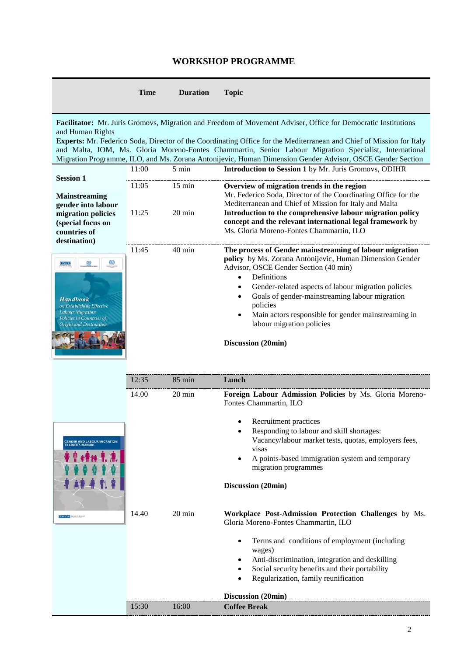## **WORKSHOP PROGRAMME**

|                                                                                                                                                                                                                                                                                    | <b>Time</b> | <b>Duration</b>  | <b>Topic</b>                                                                                                                                                                                                                                                                                                                                                                                                                                                 |
|------------------------------------------------------------------------------------------------------------------------------------------------------------------------------------------------------------------------------------------------------------------------------------|-------------|------------------|--------------------------------------------------------------------------------------------------------------------------------------------------------------------------------------------------------------------------------------------------------------------------------------------------------------------------------------------------------------------------------------------------------------------------------------------------------------|
| and Human Rights                                                                                                                                                                                                                                                                   |             |                  | Facilitator: Mr. Juris Gromovs, Migration and Freedom of Movement Adviser, Office for Democratic Institutions<br>Experts: Mr. Federico Soda, Director of the Coordinating Office for the Mediterranean and Chief of Mission for Italy<br>and Malta, IOM, Ms. Gloria Moreno-Fontes Chammartin, Senior Labour Migration Specialist, International<br>Migration Programme, ILO, and Ms. Zorana Antonijevic, Human Dimension Gender Advisor, OSCE Gender Section |
|                                                                                                                                                                                                                                                                                    | 11:00       | $5 \text{ min}$  | Introduction to Session 1 by Mr. Juris Gromovs, ODIHR                                                                                                                                                                                                                                                                                                                                                                                                        |
| <b>Session 1</b><br><b>Mainstreaming</b><br>gender into labour<br>migration policies<br>(special focus on<br>countries of<br>destination)<br>osce<br><b>Handbook</b><br>on Establishing Effective<br>Labour Migration<br><b>Policies in Countries of</b><br>Origin and Destination | 11:05       | $15$ min         | Overview of migration trends in the region<br>Mr. Federico Soda, Director of the Coordinating Office for the                                                                                                                                                                                                                                                                                                                                                 |
|                                                                                                                                                                                                                                                                                    | 11:25       | $20 \text{ min}$ | Mediterranean and Chief of Mission for Italy and Malta<br>Introduction to the comprehensive labour migration policy<br>concept and the relevant international legal framework by<br>Ms. Gloria Moreno-Fontes Chammartin, ILO                                                                                                                                                                                                                                 |
|                                                                                                                                                                                                                                                                                    | 11:45       | $40 \text{ min}$ | The process of Gender mainstreaming of labour migration<br>policy by Ms. Zorana Antonijevic, Human Dimension Gender<br>Advisor, OSCE Gender Section (40 min)<br>Definitions<br>$\bullet$<br>Gender-related aspects of labour migration policies<br>$\bullet$<br>Goals of gender-mainstreaming labour migration<br>$\bullet$<br>policies<br>Main actors responsible for gender mainstreaming in<br>labour migration policies<br>Discussion (20min)            |
|                                                                                                                                                                                                                                                                                    | 12:35       | 85 min           | Lunch                                                                                                                                                                                                                                                                                                                                                                                                                                                        |
|                                                                                                                                                                                                                                                                                    | 14.00       | $20 \text{ min}$ | Foreign Labour Admission Policies by Ms. Gloria Moreno-<br>Fontes Chammartin, ILO                                                                                                                                                                                                                                                                                                                                                                            |
| <b>GENDER AND LABOUR MICRATION</b><br>osce                                                                                                                                                                                                                                         |             |                  | Recruitment practices<br>Responding to labour and skill shortages:<br>Vacancy/labour market tests, quotas, employers fees,<br>visas<br>A points-based immigration system and temporary<br>$\bullet$<br>migration programmes<br>Discussion (20min)                                                                                                                                                                                                            |
|                                                                                                                                                                                                                                                                                    | 14.40       | 20 min           | Workplace Post-Admission Protection Challenges by Ms.<br>Gloria Moreno-Fontes Chammartin, ILO<br>Terms and conditions of employment (including<br>٠<br>wages)<br>Anti-discrimination, integration and deskilling<br>٠<br>Social security benefits and their portability<br>٠<br>Regularization, family reunification<br>Discussion (20min)                                                                                                                   |
|                                                                                                                                                                                                                                                                                    | 15:30       | 16:00            | <b>Coffee Break</b>                                                                                                                                                                                                                                                                                                                                                                                                                                          |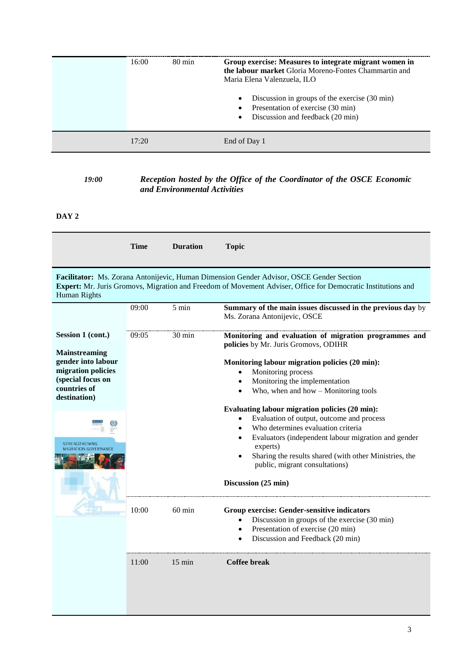| 16:00 | $80 \text{ min}$ | Group exercise: Measures to integrate migrant women in<br><b>the labour market</b> Gloria Moreno-Fontes Chammartin and<br>Maria Elena Valenzuela, ILO<br>Discussion in groups of the exercise (30 min)<br>$\bullet$<br>Presentation of exercise (30 min)<br>Discussion and feedback (20 min) |
|-------|------------------|----------------------------------------------------------------------------------------------------------------------------------------------------------------------------------------------------------------------------------------------------------------------------------------------|
| 17.20 |                  | End of Day 1                                                                                                                                                                                                                                                                                 |

#### *19:00 Reception hosted by the Office of the Coordinator of the OSCE Economic and Environmental Activities*

## **DAY 2**

|                                                                                                                                                                                                                                 | <b>Time</b> | <b>Duration</b>  | <b>Topic</b>                                                                                                                                                                                                                                                                                                                            |  |
|---------------------------------------------------------------------------------------------------------------------------------------------------------------------------------------------------------------------------------|-------------|------------------|-----------------------------------------------------------------------------------------------------------------------------------------------------------------------------------------------------------------------------------------------------------------------------------------------------------------------------------------|--|
|                                                                                                                                                                                                                                 |             |                  |                                                                                                                                                                                                                                                                                                                                         |  |
| Facilitator: Ms. Zorana Antonijevic, Human Dimension Gender Advisor, OSCE Gender Section<br>Expert: Mr. Juris Gromovs, Migration and Freedom of Movement Adviser, Office for Democratic Institutions and<br><b>Human Rights</b> |             |                  |                                                                                                                                                                                                                                                                                                                                         |  |
|                                                                                                                                                                                                                                 | 09:00       | $5 \text{ min}$  | Summary of the main issues discussed in the previous day by<br>Ms. Zorana Antonijevic, OSCE                                                                                                                                                                                                                                             |  |
| Session 1 (cont.)                                                                                                                                                                                                               | 09:05       | 30 min           | Monitoring and evaluation of migration programmes and<br>policies by Mr. Juris Gromovs, ODIHR                                                                                                                                                                                                                                           |  |
| Mainstreaming<br>gender into labour<br>migration policies<br>(special focus on<br>countries of<br>destination)                                                                                                                  |             |                  | Monitoring labour migration policies (20 min):<br>Monitoring process<br>Monitoring the implementation<br>Who, when and how $-$ Monitoring tools                                                                                                                                                                                         |  |
| <b>STRENGTHENING</b>                                                                                                                                                                                                            |             |                  | Evaluating labour migration policies (20 min):<br>Evaluation of output, outcome and process<br>$\bullet$<br>Who determines evaluation criteria<br>$\bullet$<br>Evaluators (independent labour migration and gender<br>$\bullet$<br>experts)<br>Sharing the results shared (with other Ministries, the<br>public, migrant consultations) |  |
|                                                                                                                                                                                                                                 |             |                  | Discussion (25 min)                                                                                                                                                                                                                                                                                                                     |  |
|                                                                                                                                                                                                                                 | 10:00       | $60 \text{ min}$ | Group exercise: Gender-sensitive indicators<br>Discussion in groups of the exercise (30 min)<br>$\bullet$<br>Presentation of exercise (20 min)<br>$\bullet$<br>Discussion and Feedback (20 min)                                                                                                                                         |  |
|                                                                                                                                                                                                                                 | 11:00       | $15 \text{ min}$ | Coffee break                                                                                                                                                                                                                                                                                                                            |  |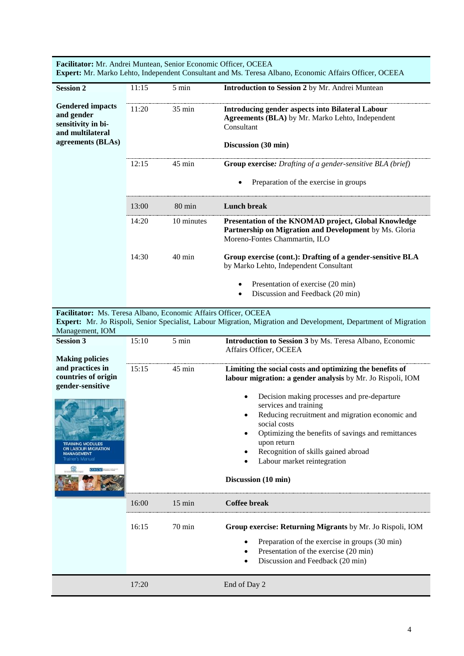**Facilitator:** Mr. Andrei Muntean, Senior Economic Officer, OCEEA **Expert:** Mr. Marko Lehto, Independent Consultant and Ms. Teresa Albano, Economic Affairs Officer, OCEEA

| <b>Session 2</b>                                                                                     | 11:15 | $5 \text{ min}$  | <b>Introduction to Session 2</b> by Mr. Andrei Muntean                                                                                                  |
|------------------------------------------------------------------------------------------------------|-------|------------------|---------------------------------------------------------------------------------------------------------------------------------------------------------|
| <b>Gendered impacts</b><br>and gender<br>sensitivity in bi-<br>and multilateral<br>agreements (BLAs) | 11:20 | $35 \text{ min}$ | <b>Introducing gender aspects into Bilateral Labour</b><br><b>Agreements (BLA)</b> by Mr. Marko Lehto, Independent<br>Consultant<br>Discussion (30 min) |
|                                                                                                      | 12:15 | $45 \text{ min}$ | Group exercise: Drafting of a gender-sensitive BLA (brief)                                                                                              |
|                                                                                                      |       |                  | Preparation of the exercise in groups                                                                                                                   |
|                                                                                                      | 13:00 | 80 min           | <b>Lunch break</b>                                                                                                                                      |
|                                                                                                      | 14:20 | 10 minutes       | Presentation of the KNOMAD project, Global Knowledge<br>Partnership on Migration and Development by Ms. Gloria<br>Moreno-Fontes Chammartin, ILO         |
|                                                                                                      | 14:30 | $40 \text{ min}$ | Group exercise (cont.): Drafting of a gender-sensitive BLA<br>by Marko Lehto, Independent Consultant                                                    |
|                                                                                                      |       |                  | Presentation of exercise (20 min)                                                                                                                       |
|                                                                                                      |       |                  | Discussion and Feedback (20 min)                                                                                                                        |
| Facilitator: Ms. Teresa Albano, Economic Affairs Officer, OCEEA                                      |       |                  |                                                                                                                                                         |
|                                                                                                      |       |                  | <b>Expert:</b> Mr. Jo Rispoli, Senior Specialist, Labour Migration, Migration and Development, Department of Migration                                  |
| Management, IOM                                                                                      |       |                  |                                                                                                                                                         |
| <b>Session 3</b>                                                                                     | 15:10 | $5 \text{ min}$  | Introduction to Session 3 by Ms. Teresa Albano, Economic                                                                                                |

| <b>Making policies</b>                                            |       |                  | Affairs Officer, OCEEA                                                                                                                                                                                                                                                                                                 |
|-------------------------------------------------------------------|-------|------------------|------------------------------------------------------------------------------------------------------------------------------------------------------------------------------------------------------------------------------------------------------------------------------------------------------------------------|
| and practices in<br>countries of origin<br>gender-sensitive       | 15:15 | $45 \text{ min}$ | Limiting the social costs and optimizing the benefits of<br>labour migration: a gender analysis by Mr. Jo Rispoli, IOM                                                                                                                                                                                                 |
| <b>BOUR MIGRATION</b><br>Trainer's Manual<br>osce <b>material</b> |       |                  | Decision making processes and pre-departure<br>services and training<br>Reducing recruitment and migration economic and<br>$\bullet$<br>social costs<br>Optimizing the benefits of savings and remittances<br>upon return<br>Recognition of skills gained abroad<br>Labour market reintegration<br>Discussion (10 min) |
|                                                                   |       |                  |                                                                                                                                                                                                                                                                                                                        |
|                                                                   | 16:00 | $15 \text{ min}$ | <b>Coffee break</b>                                                                                                                                                                                                                                                                                                    |
|                                                                   | 16:15 | 70 min           | Group exercise: Returning Migrants by Mr. Jo Rispoli, IOM<br>Preparation of the exercise in groups (30 min)<br>Presentation of the exercise (20 min)<br>Discussion and Feedback (20 min)                                                                                                                               |